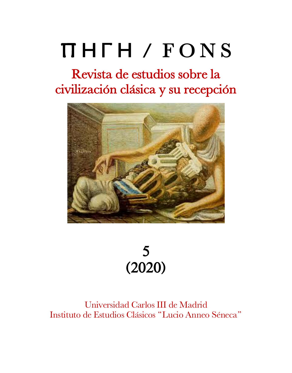# Π Η Γ Η / F O N S

# Revista de estudios sobre la civilización clásica y su recepción





## Universidad Carlos III de Madrid Instituto de Estudios Clásicos "Lucio Anneo Séneca"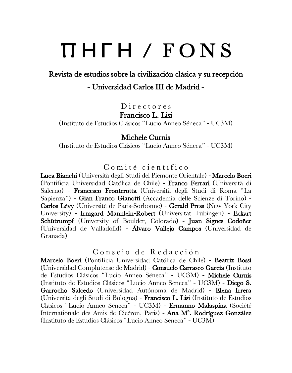# <sup>Π</sup> <sup>Η</sup> <sup>Γ</sup> <sup>Η</sup> / F O N S Revista de estudios sobre la civilización clásica y su recepción

# - Universidad Carlos III de Madrid -

D i r e c t o r e s

### Francisco L. Lisi

(Instituto de Estudios Clásicos "Lucio Anneo Séneca" - UC3M)

#### Michele Curnis

(Instituto de Estudios Clásicos "Lucio Anneo Séneca" - UC3M)

### $Comit\acute{e}$  científico

Luca Bianchi (Università degli Studi del Piemonte Orientale) - Marcelo Boeri (Pontificia Universidad Católica de Chile) - Franco Ferrari (Università di Salerno) - Francesco Fronterotta (Università degli Studi di Roma "La Sapienza") - Gian Franco Gianotti (Accademia delle Scienze di Torino) - Carlos Lévy (Université de Paris-Sorbonne) - Gerald Press (New York City University) - Irmgard Männlein-Robert (Universität Tübingen) - Eckart Schütrumpf (University of Boulder, Colorado) - Juan Signes Codoñer (Universidad de Valladolid) - Álvaro Vallejo Campos (Universidad de Granada)

Consejo de Redacción

Marcelo Boeri (Pontificia Universidad Católica de Chile) - Beatriz Bossi (Universidad Complutense de Madrid) - Consuelo Carrasco García (Instituto de Estudios Clásicos "Lucio Anneo Séneca" - UC3M) - Michele Curnis (Instituto de Estudios Clásicos "Lucio Anneo Séneca" - UC3M) - Diego S. Garrocho Salcedo (Universidad Autónoma de Madrid) - Elena Irrera (Università degli Studi di Bologna) - Francisco L. Lisi (Instituto de Estudios Clásicos "Lucio Anneo Séneca" - UC3M) - Ermanno Malaspina (Société Internationale des Amis de Cicéron, Paris) - Ana Mª. Rodríguez González (Instituto de Estudios Clásicos "Lucio Anneo Séneca" - UC3M)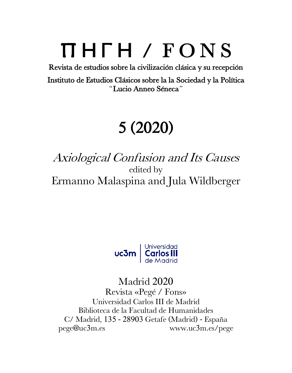# $\prod \prod \prod \prod$  is  $\Gamma$  is  $\Gamma$  is  $\Gamma$  is  $\Gamma$  of  $\Gamma$  is  $\Gamma$  is  $\Gamma$  is  $\Gamma$  . The contract of  $\Gamma$  is  $\Gamma$  is  $\Gamma$  is  $\Gamma$  is  $\Gamma$  is  $\Gamma$  is  $\Gamma$  is  $\Gamma$  is  $\Gamma$  is  $\Gamma$  is  $\Gamma$  is  $\Gamma$  is  $\Gamma$  is  $\Gamma$  is  $\Gamma$  is  $\Gamma$  is

Instituto de Estudios Clásicos sobre la la Sociedad y la Política "Lucio Anneo Séneca"

# 5 (2020)

# Axiological Confusion and Its Causes edited by Ermanno Malaspina and Jula Wildberger



# Madrid 2020

Revista «Pegé / Fons» Universidad Carlos III de Madrid Biblioteca de la Facultad de Humanidades C/ Madrid, 135 - 28903 Getafe (Madrid) - España pege@uc3m.es www.uc3m.es/pege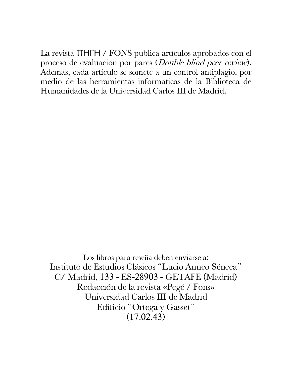La revista ΠΗΓΗ / FONS publica artículos aprobados con el proceso de evaluación por pares (Double blind peer review). Además, cada artículo se somete a un control antiplagio, por medio de las herramientas informáticas de la Biblioteca de Humanidades de la Universidad Carlos III de Madrid.

 Los libros para reseña deben enviarse a: Instituto de Estudios Clásicos "Lucio Anneo Séneca" C/ Madrid, 133 - ES-28903 - GETAFE (Madrid) Redacción de la revista «Pegé / Fons» Universidad Carlos III de Madrid Edificio "Ortega y Gasset" (17.02.43)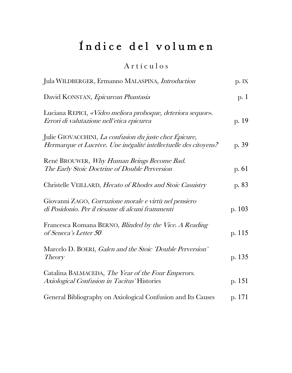# Índice del volumen

Artículos

| Jula WILDBERGER, Ermanno MALASPINA, <i>Introduction</i>                                                                    | p. IX   |
|----------------------------------------------------------------------------------------------------------------------------|---------|
| David KONSTAN, Epicurean Phantasia                                                                                         | p. 1    |
| Luciana REPICI, «Video meliora proboque, deteriora sequor».<br>Errori di valutazione nell'etica epicurea                   | p. 19   |
| Julie GIOVACCHINI, La confusion du juste chez Épicure,<br>Hermarque et Lucrèce. Une inégalité intellectuelle des citoyens? | p. 39   |
| René BROUWER, Why Human Beings Become Bad.<br>The Early Stoic Doctrine of Double Perversion                                | p. $61$ |
| Christelle VEILLARD, Hecato of Rhodes and Stoic Casuistry                                                                  | p. 83   |
| Giovanni ZAGO, Corruzione morale e virtù nel pensiero<br>di Posidonio. Per il riesame di alcuni frammenti                  | p. 103  |
| Francesca Romana BERNO, Blinded by the Vice. A Reading<br>of Seneca's Letter 50                                            | p. 115  |
| Marcelo D. BOERI, Galen and the Stoic 'Double Perversion'<br><i>Theory</i>                                                 | p. 135  |
| Catalina BALMACEDA, The Year of the Four Emperors.<br>Axiological Confusion in Tacitus' Histories                          | p. 151  |
| General Bibliography on Axiological Confusion and Its Causes                                                               | p. 171  |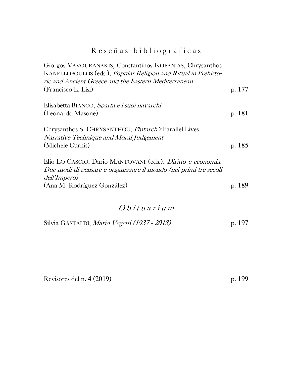## R e s e ñ a s b i b l i o g r á f i c a s

| Giorgos VAVOURANAKIS, Constantinos KOPANIAS, Chrysanthos<br>KANELLOPOULOS (eds.), Popular Religion and Ritual in Prehisto-<br>ric and Ancient Greece and the Eastern Mediterranean |        |
|------------------------------------------------------------------------------------------------------------------------------------------------------------------------------------|--------|
| (Francisco L. Lisi)                                                                                                                                                                | p. 177 |
| Elisabetta BIANCO, Sparta e i suoi navarchi                                                                                                                                        |        |
| (Leonardo Masone)                                                                                                                                                                  | p. 181 |
| Chrysanthos S. CHRYSANTHOU, <i>Plutarch's</i> Parallel Lives.<br>Narrative Technique and Moral Judgement                                                                           |        |
| (Michele Curnis)                                                                                                                                                                   | p. 185 |
| Elio LO CASCIO, Dario MANTOVANI (eds.), Diritto e economia.<br>Due modi di pensare e organizzare il mondo (nei primi tre secoli<br>dell'Impero)                                    |        |
| (Ana M. Rodríguez González)                                                                                                                                                        | p. 189 |
|                                                                                                                                                                                    |        |

## O b i t u a r i u m

| Silvia GASTALDI, Mario Vegetti (1937 - 2018) | p. 197 |
|----------------------------------------------|--------|
|----------------------------------------------|--------|

Revisores del n. 4 (2019) p. 199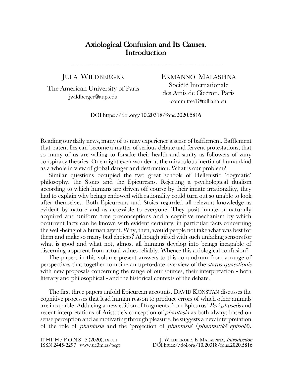#### Axiological Confusion and Its Causes. **Introduction**

\_\_\_\_\_\_\_\_\_\_\_\_\_\_\_\_\_\_\_\_\_\_\_\_\_\_\_\_\_\_\_\_\_\_\_\_\_\_\_\_\_\_\_\_\_\_\_\_\_\_\_\_\_\_\_\_\_\_\_\_\_\_\_\_\_\_

#### JULA WILDBERGER

The American University of Paris jwildberger@aup.edu

ERMANNO MALASPINA Société Internationale des Amis de Cicéron, Paris committee1@tulliana.eu

DOI https://doi.org/10.20318/fons.2020.5816

Reading our daily news, many of us may experience a sense of bafflement. Bafflement that patent lies can become a matter of serious debate and fervent protestations; that so many of us are willing to forsake their health and sanity as followers of zany conspiracy theories. One might even wonder at the miraculous inertia of humankind as a whole in view of global danger and destruction. What is our problem?

Similar questions occupied the two great schools of Hellenistic 'dogmatic' philosophy, the Stoics and the Epicureans. Rejecting a psychological dualism according to which humans are driven off course by their innate irrationality, they had to explain why beings endowed with rationality could turn out so unable to look after themselves. Both Epicureans and Stoics regarded all relevant knowledge as evident by nature and as accessible to everyone. They posit innate or naturally acquired and uniform true preconceptions and a cognitive mechanism by which occurrent facts can be known with evident certainty, in particular facts concerning the well-being of a human agent. Why, then, would people not take what was best for them and make so many bad choices? Although gifted with such unfailing sensors for what is good and what not, almost all humans develop into beings incapable of discerning apparent from actual values reliably. Whence this axiological confusion?

The papers in this volume present answers to this conundrum from a range of perspectives that together combine an up-to-date overview of the status quaestionis with new proposals concerning the range of our sources, their interpretation - both literary and philosophical - and the historical contexts of the debate.

The first three papers unfold Epicurean accounts. DAVID KONSTAN discusses the cognitive processes that lead human reason to produce errors of which other animals are incapable. Adducing a new edition of fragments from Epicurus' *Peri phuseôs* and recent interpretations of Aristotle's conception of *phantasia* as both always based on sense perception and as motivating through pleasure, he suggests a new interpretation of the role of phantasia and the 'projection of phantasia' (phantastikê epibolê).

Π Η Γ Η / F O N S 5 (2020), IX-XII ISSN 2445-2297 www.uc3m.es/pege

J. WILDBERGER, E. MALASPINA, Introduction DOI https://doi.org/10.20318/fons.2020.5816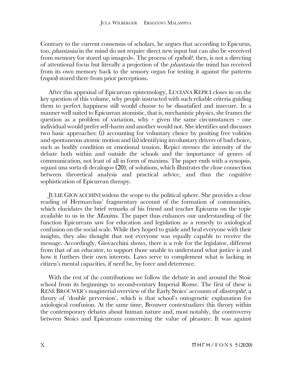Contrary to the current consensus of scholars, he argues that according to Epicurus, too, phantasiai in the mind do not require direct new input but can also be «received from memory (or stored up images)». The process of epibolê, then, is not a directing of attentional focus but literally a projection of the phantasia the mind has received from its own memory back to the sensory organ for testing it against the patterns (*tupoi*) stored there from prior perceptions.

After this appraisal of Epicurean epistemology, LUCIANA REPICI closes in on the key question of this volume, why people instructed with such reliable criteria guiding them to perfect happiness still would choose to be dissatisfied and insecure. In a manner well suited to Epicurean atomistic, that is, mechanistic physics, she frames the question as a problem of variation, why - given the same circumstances - one individual would prefer self-harm and another would not. She identifies and discusses two basic approaches: (i) accounting for voluntary choice by positing free volition and spontaneous atomic motion and (ii) identifying involuntary drivers of bad choice, such as bodily condition or emotional tension. Repici stresses the intensity of the debate both within and outside the schools and the importance of genres of communication, not least of all in form of maxims. The paper ends with a synopsis, «quasi una sorta di decalogo» (20), of solutions, which illustrates the close connection between theoretical analysis and practical advice, and thus the cognitive sophistication of Epicurean therapy.

JULIE GIOVACCHINI widens the scope to the political sphere. She provides a close reading of Hermarchus' fragmentary account of the formation of communities, which elucidates the brief remarks of his friend and teacher Epicurus on the topic available to us in the Maxims. The paper thus enhances our understanding of the function Epicureans saw for education and legislation as a remedy to axiological confusion on the social scale. While they hoped to guide and heal everyone with their insights, they also thought that not everyone was equally capable to receive the message. Accordingly, Giovacchini shows, there is a role for the legislator, different from that of an educator, to support those unable to understand what justice is and how it furthers their own interests. Laws serve to complement what is lacking in citizen's mental capacities, if need be, by force and deterrence.

With the rest of the contributions we follow the debate in and around the Stoic school from its beginnings to second-century Imperial Rome. The first of these is RENÉ BROUWER's magisterial overview of the Early Stoics' accounts of *diastrophe*, a theory of 'double perversion', which is that school's ontogenetic explanation for axiological confusion. At the same time, Brouwer contextualizes this theory within the contemporary debates about human nature and, most notably, the controversy between Stoics and Epicureans concerning the value of pleasure. It was against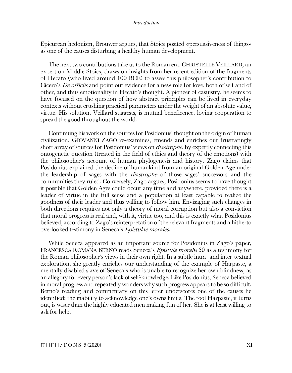#### Introduction

Epicurean hedonism, Brouwer argues, that Stoics posited «persuasiveness of things» as one of the causes disturbing a healthy human development.

The next two contributions take us to the Roman era. CHRISTELLE VEILLARD, an expert on Middle Stoics, draws on insights from her recent edition of the fragments of Hecato (who lived around 100 BCE) to assess this philosopher's contribution to Cicero's *De officiis* and point out evidence for a new role for love, both of self and of other, and thus emotionality in Hecato's thought. A pioneer of casuistry, he seems to have focused on the question of how abstract principles can be lived in everyday contexts without crushing practical parameters under the weight of an absolute value, virtue. His solution, Veillard suggests, is mutual beneficence, loving cooperation to spread the good throughout the world.

Continuing his work on the sources for Posidonius' thought on the origin of human civilization, GIOVANNI ZAGO re-examines, emends and enriches our frustratingly short array of sources for Posidonius' views on *diastrophe*, by expertly connecting this ontogenetic question (treated in the field of ethics and theory of the emotions) with the philosopher's account of human phylogenesis and history. Zago claims that Posidonius explained the decline of humankind from an original Golden Age under the leadership of sages with the *diastrophe* of those sages' successors and the communities they ruled. Conversely, Zago argues, Posidonius seems to have thought it possible that Golden Ages could occur any time and anywhere, provided there is a leader of virtue in the full sense and a population at least capable to realize the goodness of their leader and thus willing to follow him. Envisaging such changes in both directions requires not only a theory of moral corruption but also a conviction that moral progress is real and, with it, virtue too, and this is exactly what Posidonius believed, according to Zago's reinterpretation of the relevant fragments and a hitherto overlooked testimony in Seneca's Epistulae morales.

While Seneca appeared as an important source for Posidonius in Zago's paper, FRANCESCA ROMANA BERNO reads Seneca's *Epistula moralis* 50 as a testimony for the Roman philosopher's views in their own right. In a subtle intra- and inter-textual exploration, she greatly enriches our understanding of the example of Harpaste, a mentally disabled slave of Seneca's who is unable to recognize her own blindness, as an allegory for every person's lack of self-knowledge. Like Posidonius, Seneca believed in moral progress and repeatedly wonders why such progress appears to be so difficult. Berno's reading and commentary on this letter underscores one of the causes he identified: the inability to acknowledge one's owns limits. The fool Harpaste, it turns out, is wiser than the highly educated men making fun of her. She is at least willing to ask for help.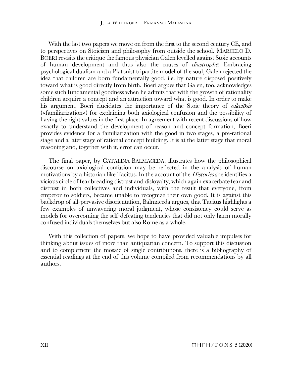With the last two papers we move on from the first to the second century CE, and to perspectives on Stoicism and philosophy from outside the school. MARCELO D. BOERI revisits the critique the famous physician Galen levelled against Stoic accounts of human development and thus also the causes of diastroph<sup>ē</sup>. Embracing psychological dualism and a Platonist tripartite model of the soul, Galen rejected the idea that children are born fundamentally good, i.e. by nature disposed positively toward what is good directly from birth. Boeri argues that Galen, too, acknowledges some such fundamental goodness when he admits that with the growth of rationality children acquire a concept and an attraction toward what is good. In order to make his argument, Boeri elucidates the importance of the Stoic theory of *oikeiosis* («familiarization») for explaining both axiological confusion and the possibility of having the right values in the first place. In agreement with recent discussions of how exactly to understand the development of reason and concept formation, Boeri provides evidence for a familiarization with the good in two stages, a pre-rational stage and a later stage of rational concept building. It is at the latter stage that moral reasoning and, together with it, error can occur.

The final paper, by CATALINA BALMACEDA, illustrates how the philosophical discourse on axiological confusion may be reflected in the analysis of human motivations by a historian like Tacitus. In the account of the *Histories* she identifies a vicious circle of fear breading distrust and disloyalty, which again exacerbate fear and distrust in both collectives and individuals, with the result that everyone, from emperor to soldiers, became unable to recognize their own good. It is against this backdrop of all-pervasive disorientation, Balmaceda argues, that Tacitus highlights a few examples of unwavering moral judgment, whose consistency could serve as models for overcoming the self-defeating tendencies that did not only harm morally confused individuals themselves but also Rome as a whole.

With this collection of papers, we hope to have provided valuable impulses for thinking about issues of more than antiquarian concern. To support this discussion and to complement the mosaic of single contributions, there is a bibliography of essential readings at the end of this volume compiled from recommendations by all authors.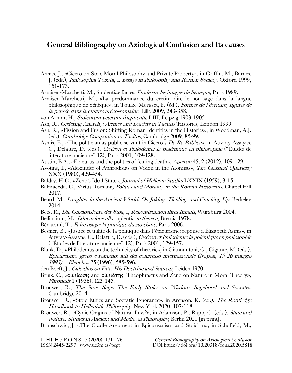#### General Bibliography on Axiological Confusion and Its causes \_\_\_\_\_\_\_\_\_\_\_\_\_\_\_\_\_\_\_\_\_\_\_\_\_\_\_\_\_\_\_\_\_\_\_\_\_\_\_\_\_\_\_\_\_\_\_\_\_\_\_\_\_\_\_\_\_\_\_\_\_\_\_\_\_\_

- Annas, J., «Cicero on Stoic Moral Philosophy and Private Property», in Griffin, M., Barnes, J. (eds.), Philosophia Togata, I. Essays in Philosophy and Roman Society, Oxford 1999, 151-173.
- Armisen-Marchetti, M., Sapientiae facies. Étude sur les images de Sénèque, Paris 1989.
- Armisen-Marchetti, M., «La prédominance du crétin: dire le non-sage dans la langue philosophique de Sénèque», in Toulze-Morisset, F. (éd.), Formes de l'écriture, figures de la pensée dans la culture gréco-romaine, Lille 2009, 343-358.
- von Arnim, H., Stoicorum veterum fragmenta, I-III, Leipzig 1903-1905.
- Ash, R., Ordering Anarchy: Armies and Leaders in Tacitus' Histories, London 1999.
- Ash, R., «Fission and Fusion: Shifting Roman Identities in the Histories», in Woodman, A.J. (ed.), Cambridge Companion to Tacitus, Cambridge 2009, 85-99.
- Asmis, E., «The politician as public servant in Cicero's  $De Re Publicav$ , in Auvray-Assayas, C., Delattre, D. (éds.), Cicéron et Philodème: la polémique en philosophie ("Études de littérature ancienne" 12), Paris 2001, 109-128.
- Austin, E.A., «Epicurus and the politics of fearing death», Apeiron 45, 2 (2012), 109-129.
- Avotins, I., «Alexander of Aphrodisias on Vision in the Atomists», The Classical Quarterly XXX (1980), 429-454.
- Baldry, H.C., «Zeno's Ideal State», *Journal of Hellenic Studies* LXXIX (1959), 3-15.
- Balmaceda, C., Virtus Romana, Politics and Morality in the Roman Historians, Chapel Hill 2017.
- Beard, M., *Laughter in the Ancient World. On Joking, Tickling, and Cracking Up*, Berkeley 2014.
- Bees, R., Die Oikeiosislehre der Stoa, I, Rekonstruktion ihres Inhalts, Würzburg 2004.
- Bellincioni, M., Educazione alla sapientia in Seneca, Brescia 1978.
- Bénatouïl, T., Faire usage: la pratique du stoïcisme, Paris 2006.
- Besnier, B., «Justice et utilité de la politique dans l'épicurisme: réponse à Élizabeth Asmis», in Auvray-Assayas, C., Delattre, D. (éds.), Cicéron et Philodème: la polémique en philosophie ("Études de littérature ancienne" 12), Paris 2001, 129-157.
- Blank, D., «Philodemus on the technicity of rhetoric», in Giannantoni, G., Gigante, M. (eds.), Epicureismo greco e romano: atti del congresso internazionale (Napoli, 19-26 maggio  $1993$ ) = Elenchos 25 (1996), 585-596.
- den Boeft, J., Calcidius on Fate. His Doctrine and Sources, Leiden 1970.
- Brink, C., «οἰκείωσις and οἰκειότης: Theophrastus and Zeno on Nature in Moral Theory», Phronesis 1 (1956), 123-145.
- Brouwer, R., The Stoic Sage. The Early Stoics on Wisdom, Sagehood and Socrates, Cambridge 2014.
- Brouwer, R., «Stoic Ethics and Socratic Ignorance», in Arenson, K. (ed.), *The Routledge* Handbook to Hellenistic Philosophy, New York 2020, 107-118.
- Brouwer, R., «Cynic Origins of Natural Law?», in Adamson, P., Rapp, C. (eds.), State and Nature. Studies in Ancient and Medieval Philosophy, Berlin 2021 [in print].
- Brunschwig, J. «The Cradle Argument in Epicureanism and Stoicism», in Schofield, M.,

Π Η Γ Η / F O N S 5 (2020), 171-176 ISSN 2445-2297 www.uc3m.es/pege

General Bibliography on Axiological Confusion DOI https://doi.org/10.20318/fons.2020.5818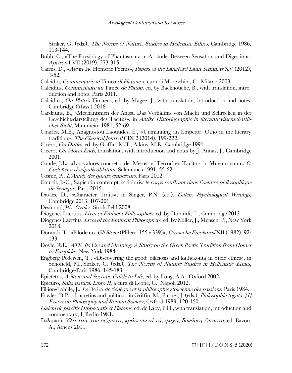Striker, G. (eds.), The Norms of Nature. Studies in Hellenistc Ethics, Cambridge 1986, 113-144.

- Bubb, C., «The Physiology of Phantasmata in Aristotle: Between Sensation and Digestion», Apeiron LVII (2019), 273-315.
- Cairns, D., «Ate in the Homeric Poems», Papers of the Langford Latin Seminars XV (2012), 1-52.
- Calcidio, Commentario al Timeo di Platone, a cura di Moreschini, C., Milano 2003.
- Calcidius, Commentaire au Timée de Platon, ed. by Backhouche, B., with translation, introduction and notes, Paris 2011.
- Calcidius, On Plato's Timaeus, ed. by Magee, J., with translation, introduction and notes, Cambridge (Mass.) 2016.
- Cardauns, B., «Mechanismen der Angst. Das Verhältnis von Macht und Schrecken in der Geschichtsdarstellung des Tacitus», in Antike Historiographie in literaturwissenschaftlicher Sicht, Mannheim 1981, 52-69.
- Charles, M.B., Anagnostou-Laoutides, E., «Unmanning an Emperor: Otho in the literary tradition», The Classical Journal CIX 2 (2014), 199-222.
- Cicero, On Duties, ed. by Griffin, M.T., Atkins, M.E., Cambridge 1991.
- Cicero, On Moral Ends, translation, with introduction and notes by J. Annas, J., Cambridge 2001.
- Conde, J.L., «Los valores concretos de 'Metus' y 'Terror' en Tácito», in Mnemosynum: C. Codoñer a discipulis oblatum, Salamanca 1991, 55-62.
- Cosme, P., L'Année des quatre empereurs, Paris 2012.
- Courtil, J.-C., Sapientia contemptrix doloris: le corps souffrant dans l'oeuvre philosophique de Sénèque, Paris 2015.
- Davies, D., «Character Traits», in Singer, P.N. (ed.), *Galen. Psychological Writings*, Cambridge 2013, 107-201.
- Desmond, W., Cynics, Stocksfield 2008.
- Diogenes Laertius, Lives of Eminent Philosophers, ed. by Dorandi, T., Cambridge 2013.
- Diogenes Laertius, Lives of the Eminent Philosophers, ed. by Miller, J., Mensch, P., New York 2018.
- Dorandi, T., «Filodemo. Gli Stoici (PHerc. 155 e 339)», Cronache Ercolanesi XII (1982), 92- 133.
- Doyle, R.E., ATE. Its Use and Meaning. A Study on the Greek Poetic Tradition from Homer to Euripides, New York 1984.
- Engberg-Pedersen, T., «Discovering the good: oikeiosis and kathekonta in Stoic ethics», in Schofield, M., Striker, G. (eds.), *The Norms of Nature: Studies in Hellenistic Ethics*, Cambridge-Paris 1986, 145-183.
- Epictetus, A Stoic and Socratic Guide to Life, ed. by Long, A.A., Oxford 2002.
- Epicuro, Sulla natura. Libro II, a cura di Leone, G., Napoli 2012.
- Fillion-Lahille, J., Le De ira de Sénèque et la philosophie stoïcienne des passions, Paris 1984.
- Fowler, D.P., «Lucretius and politics», in Griffin, M., Barnes, J. (eds.), Philosophia togata: [1] Essays on Philosophy and Roman Society, Oxford 1989, 120-150.
- Galeni de placitis Hippocratis et Platonis, ed. de Lacy, P.H., with translation, introduction and commentary, I, Berlin 1981.
- Γαληνοῦ, Ὅτι ταῖς τοῦ σώµατος κράσεσιν αἱ τῆς ψυχῆς δυνάµεις ἕπονται, ed. Bazou, A., Athens 2011.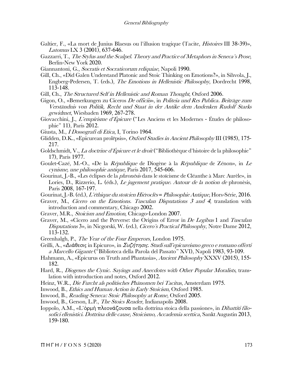- Galtier, F., «La mort de Junius Blaesus ou l'illusion tragique (Tacite, *Histoires* III 38-39)», Latomus LX 3 (2001), 637-646.
- Gazzarri, T., The Stylus and the Scalpel. Theory and Practice of Metaphors in Seneca's Prose, Berlin-New York 2020.
- Giannantoni, G., Socratis et Socraticorum reliquiae, Napoli 1990.
- Gill, Ch., «Did Galen Understand Platonic and Stoic Thinking on Emotions?», in Sihvola, J., Engberg-Pedersen, T. (eds.), The Emotions in Hellenistic Philosophy, Dordrecht 1998, 113-148.
- Gill, Ch., The Structured Self in Hellenistic and Roman Thought, Oxford 2006.
- Gigon, O., «Bemerkungen zu Ciceros De officiis», in Politeia und Res Publica. Beiträge zum Verständnis von Politik, Recht und Staat in der Antike dem Andenken Rudolf Starks gewidmet, Wiesbaden 1969, 267-278.
- Giovacchini, J., L'empirisme d'Épicure ("Les Anciens et les Modernes Études de philosophie" 11), Paris 2012.
- Giusta, M., *I Dossografi di Etica*, I, Torino 1964.
- Glidden, D.K., «Epicurean prolēpsis», Oxford Studies in Ancient Philosophy III (1985), 175- 217.
- Goldschmidt, V., La doctrine d'Épicure et le droit ("Bibliothèque d'histoire de la philosophie" 17), Paris 1977.
- Goulet-Cazé, M.-O., «De la République de Diogène à la République de Zénon», in Le cynisme, une philosophie antique, Paris 2017, 545-606.
- Gourinat, J.-B., «Les éclipses de la phronèsis dans le stoïcisme de Cléanthe à Marc Aurèle», in Lories, D., Rizzerio, L. (éds.), Le jugement pratique. Autour de la notion de phronèsis, Paris 2008, 167-197.
- Gourinat, J.-B. (éd.), *L'éthique du stoïcien Hiéroclès = Philosophie Antique*, Hors-Série, 2016.
- Graver, M., *Cicero on the Emotions. Tusculan Disputations 3 and 4*, translation with introduction and commentary, Chicago 2002.
- Graver, M.R., Stoicism and Emotion, Chicago-London 2007.
- Graver, M., «Cicero and the Perverse: the Origins of Error in *De Legibus* 1 and Tusculan Disputations 3», in Nicgorski, W. (ed.), Cicero's Practical Philosophy, Notre Dame 2012, 113-132.
- Greenhalgh, P., The Year of the Four Emperors, London 1975.
- Grilli, A., «Διάθεσις in Epicuro», in Συζήτησις. Studi sull'epicureismo greco e romano offerti a Marcello Gigante ("Biblioteca della Parola del Passato" XVI), Napoli 1983, 93-109.
- Hahmann, A., «Epicurus on Truth and Phantasia», Ancient Philosophy XXXV (2015), 155- 182.
- Hard, R., Diogenes the Cynic. Sayings and Anecdotes with Other Popular Moralists, translation with introduction and notes, Oxford 2012.
- Heinz, W.R., Die Furcht als politisches Phänomen bei Tacitus, Amsterdam 1975.
- Inwood, B., Ethics and Human Action in Early Stoicism, Oxford 1985.
- Inwood, B., Reading Seneca: Stoic Philosophy at Rome, Oxford 2005.
- Inwood, B., Gerson, L.P., The Stoics Reader, Indianapolis 2008.
- Ioppolo, A.M., «L'ὁρµὴ πλεονάζουσα nella dottrina stoica della passione», in Dibattiti filosofici ellenistici. Dottrina delle cause, Stoicismo, Accademia scettica, Sankt Augustin 2013, 159-180.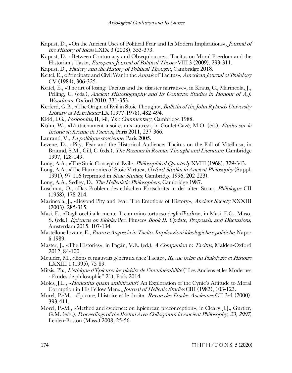- Kapust, D., «On the Ancient Uses of Political Fear and Its Modern Implications», Journal of the History of Ideas LXIX 3 (2008), 353-373.
- Kapust, D., «Between Contumacy and Obsequiousness: Tacitus on Moral Freedom and the Historian's Task», European Journal of Political Theory VIII 3 (2009), 293-311.
- Kapust, D., Flattery and the History of Political Thought, Cambridge 2018.
- Keitel, E., «Principate and Civil War in the Annals of Tacitus», American Journal of Philology CV (1984), 306-325.
- Keitel, E., «The art of losing: Tacitus and the disaster narrative», in Kraus, C., Marincola, J., Pelling, C. (eds.), Ancient Historiography and Its Contexts: Studies in Honour of A.J. Woodman, Oxford 2010, 331-353.
- Kerferd, G.B., «The Origin of Evil in Stoic Thought», Bulletin of the John Rylands University Library of Manchester LX (1977-1978), 482-494.
- Kidd, I.G., Posidonius, II, i-ii, The Commentary, Cambridge 1988.
- Kühn, W., «L'attachament à soi et aux autres», in Goulet-Cazé, M.O. (éd.), Études sur la théorie stoïcienne de l'action, Paris 2011, 237-366.
- Laurand, V., *La politique stoïcienne*, Paris 2005.
- Levene, D., «Pity, Fear and the Historical Audience: Tacitus on the Fall of Vitellius», in Braund, S.M., Gill, C. (eds.), *The Passions in Roman Thought and Literature*, Cambridge 1997, 128-149.
- Long, A.A., «The Stoic Concept of Evil», *Philosophical Quarterly* XVIII (1968), 329-343.
- Long, A.A., «The Harmonics of Stoic Virtue», Oxford Studies in Ancient Philosophy (Suppl. 1991), 97-116 (reprinted in Stoic Studies, Cambridge 1996, 202-223).
- Long, A.A., Sedley, D., *The Hellenistic Philosophers*, Cambridge 1987.
- Luschnat, O., «Das Problem des ethischen Fortschritts in der alten Stoa», Philologus CII (1958), 178-214.
- Marincola, J., «Beyond Pity and Fear: The Emotions of History», Ancient Society XXXIII (2003), 285-315.
- Masi, F., «Dagli occhi alla mente: Il cammino tortuoso degli εἴδωλα», in Masi, F.G., Maso, S. (eds.), Epicurus on Eidola: Peri Phuseos Book II. Update, Proposals, and Discussions, Amsterdam 2015, 107-134.
- Mastellone Iovane, E., Paura e Angoscia in Tacito. Implicazioni ideologiche e politiche, Napoli 1989.
- Master, J., «The Histories», in Pagán, V.E. (ed.), A Companion to Tacitus, Malden-Oxford 2012, 84-100.
- Meulder, M., «Bons et mauvais généraux chez Tacite», Revue belge du Philologie et Histoire LXXIII 1 (1995), 75-89.
- Mitsis, Ph., L'éthique d'Épicure: les plaisirs de l'invulnérabilité ("Les Anciens et les Modernes - Études de philosophie" 21), Paris 2014.
- Moles, J.L., «*Honestius quam ambitiosius*? An Exploration of the Cynic's Attitude to Moral Corruption in His Fellow Men», Journal of Hellenic Studies CIII (1983), 103-123.
- Morel, P.-M., «Épicure, l'histoire et le droit», Revue des Études Anciennes CII 3-4 (2000), 393-411.
- Morel, P.-M., «Method and evidence: on Epicurean preconception», in Cleary, J.J., Gurtler, G.M. (eds.), Proceedings of the Boston Area Colloquium in Ancient Philosophy, 23, 2007, Leiden-Boston (Mass.) 2008, 25-56.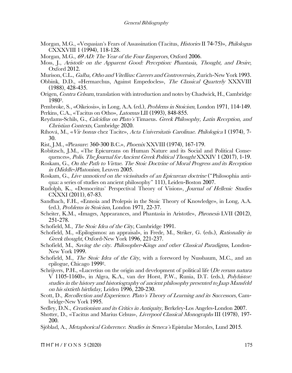- Morgan, M.G., «Vespasian's Fears of Assassination (Tacitus, Histories II 74-75)», Philologus CXXXVIII 1 (1994), 118-128.
- Morgan, M.G., 69 AD: The Year of the Four Emperors, Oxford 2006.
- Moss, J., Aristotle on the Apparent Good: Perception: Phantasia, Thought, and Desire, Oxford 2012.
- Murison, C.L., Galba, Otho and Vitellius: Careers and Controversies, Zurich-New York 1993.
- Obbink, D.D., «Hermarchus, Against Empedocles», The Classical Quarterly XXXVIII (1988), 428-435.
- Origen, Contra Celsum, translation with introduction and notes by Chadwick, H., Cambridge 19803.
- Pembroke, S., «Oikeiosis», in Long, A.A. (ed.), Problems in Stoicism, London 1971, 114-149.
- Perkins, C.A., «Tacitus on Otho», Latomus LII (1993), 848-855.
- Reydams-Schils, G., Calcidius on Plato's Timaeus. Greek Philosophy, Latin Reception, and Christian Contexts, Cambridge 2020.
- Ríhová, M., «Vir bonus chez Tacite», Acta Universitatis Carolinae. Philologica I (1974), 7- 30.
- Rist, J.M., «Pleasure: 360-300 B.C.», Phoenix XXVIII (1974), 167-179.
- Robitzsch, J.M., «The Epicureans on Human Nature and its Social and Political Consequences», Polis. The Journal for Ancient Greek Political Thought XXXIV 1 (2017), 1-19.
- Roskam, G., On the Path to Virtue. The Stoic Doctrine of Moral Progress and its Reception in (Middle-)Platonism, Leuven 2005.
- Roskam, G., Live unnoticed on the vicissitudes of an Epicurean doctrine ("Philosophia antiqua: a series of studies on ancient philosophy" 111), Leiden-Boston 2007.
- Rudolph, K., «Democritus' Perspectival Theory of Vision», Journal of Hellenic Studies CXXXI (2011), 67-83.
- Sandbach, F.H., «Ennoia and Prolepsis in the Stoic Theory of Knowledge», in Long, A.A. (ed.), Problems in Stoicism, London 1971, 22-37.
- Scheiter, K.M., «Images, Appearances, and Phantasia in Aristotle», Phronesis LVII (2012), 251-278.
- Schofield, M., *The Stoic Idea of the City*, Cambridge 1991.
- Schofield, M., «Epilogismos: an appraisal», in Frede, M., Striker, G. (eds.), Rationality in Greek thought, Oxford-New York 1996, 221-237.
- Schofield, M., Saving the city. Philosopher-Kings and other Classical Paradigms, London-New York 1999.
- Schofield, M., *The Stoic Idea of the City*, with a foreword by Nussbaum, M.C., and an epilogue, Chicago 19992.
- Schrijvers, P.H., «Lucretius on the origin and development of political life (*De rerum natura* V 1105-1160)», in Algra, K.A., van der Horst, P.W., Runia, D.T. (eds.), Polyhistor: studies in the history and historiography of ancient philosophy presented to Jaap Mansfeld on his sixtieth birthday, Leiden 1996, 220-230.
- Scott, D., Recollection and Experience. Plato's Theory of Learning and its Successors, Cambridge-New York 1995.
- Sedley, D.N., *Creationism and its Critics in Antiquity*, Berkeley-Los Angeles-London 2007.
- Shotter, D., «Tacitus and Marius Celsus», *Liverpool Classical Monographs* III (1978), 197-200.
- Sjöblad, A., Metaphorical Coherence. Studies in Seneca's Epistulae Morales, Lund 2015.

 $\Pi$  H  $\Gamma$  H  $\land$  F O N S 5 (2020) 175